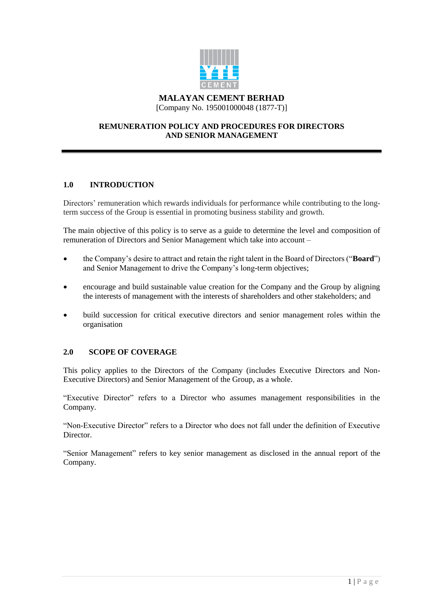

# **REMUNERATION POLICY AND PROCEDURES FOR DIRECTORS AND SENIOR MANAGEMENT**

# **1.0 INTRODUCTION**

Directors' remuneration which rewards individuals for performance while contributing to the longterm success of the Group is essential in promoting business stability and growth.

The main objective of this policy is to serve as a guide to determine the level and composition of remuneration of Directors and Senior Management which take into account –

- the Company's desire to attract and retain the right talent in the Board of Directors ("**Board**") and Senior Management to drive the Company's long-term objectives;
- encourage and build sustainable value creation for the Company and the Group by aligning the interests of management with the interests of shareholders and other stakeholders; and
- build succession for critical executive directors and senior management roles within the organisation

# **2.0 SCOPE OF COVERAGE**

This policy applies to the Directors of the Company (includes Executive Directors and Non-Executive Directors) and Senior Management of the Group, as a whole.

"Executive Director" refers to a Director who assumes management responsibilities in the Company.

"Non-Executive Director" refers to a Director who does not fall under the definition of Executive Director.

"Senior Management" refers to key senior management as disclosed in the annual report of the Company.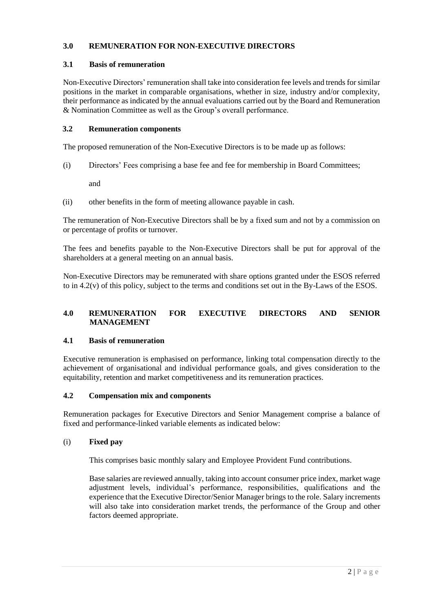# **3.0 REMUNERATION FOR NON-EXECUTIVE DIRECTORS**

## **3.1 Basis of remuneration**

Non-Executive Directors' remuneration shall take into consideration fee levels and trends for similar positions in the market in comparable organisations, whether in size, industry and/or complexity, their performance as indicated by the annual evaluations carried out by the Board and Remuneration & Nomination Committee as well as the Group's overall performance.

### **3.2 Remuneration components**

The proposed remuneration of the Non-Executive Directors is to be made up as follows:

(i) Directors' Fees comprising a base fee and fee for membership in Board Committees;

and

(ii) other benefits in the form of meeting allowance payable in cash.

The remuneration of Non-Executive Directors shall be by a fixed sum and not by a commission on or percentage of profits or turnover.

The fees and benefits payable to the Non-Executive Directors shall be put for approval of the shareholders at a general meeting on an annual basis.

Non-Executive Directors may be remunerated with share options granted under the ESOS referred to in 4.2(v) of this policy, subject to the terms and conditions set out in the By-Laws of the ESOS.

# **4.0 REMUNERATION FOR EXECUTIVE DIRECTORS AND SENIOR MANAGEMENT**

# **4.1 Basis of remuneration**

Executive remuneration is emphasised on performance, linking total compensation directly to the achievement of organisational and individual performance goals, and gives consideration to the equitability, retention and market competitiveness and its remuneration practices.

# **4.2 Compensation mix and components**

Remuneration packages for Executive Directors and Senior Management comprise a balance of fixed and performance-linked variable elements as indicated below:

#### (i) **Fixed pay**

This comprises basic monthly salary and Employee Provident Fund contributions.

Base salaries are reviewed annually, taking into account consumer price index, market wage adjustment levels, individual's performance, responsibilities, qualifications and the experience that the Executive Director/Senior Manager brings to the role. Salary increments will also take into consideration market trends, the performance of the Group and other factors deemed appropriate.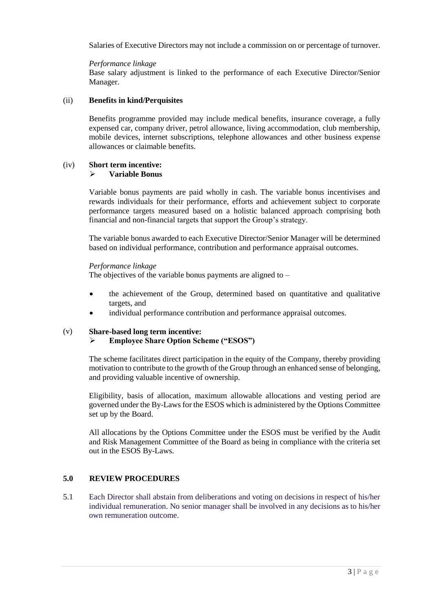Salaries of Executive Directors may not include a commission on or percentage of turnover.

*Performance linkage*

Base salary adjustment is linked to the performance of each Executive Director/Senior Manager.

### (ii) **Benefits in kind/Perquisites**

Benefits programme provided may include medical benefits, insurance coverage, a fully expensed car, company driver, petrol allowance, living accommodation, club membership, mobile devices, internet subscriptions, telephone allowances and other business expense allowances or claimable benefits.

#### (iv) **Short term incentive: Variable Bonus**

Variable bonus payments are paid wholly in cash. The variable bonus incentivises and rewards individuals for their performance, efforts and achievement subject to corporate performance targets measured based on a holistic balanced approach comprising both financial and non-financial targets that support the Group's strategy.

The variable bonus awarded to each Executive Director/Senior Manager will be determined based on individual performance, contribution and performance appraisal outcomes.

### *Performance linkage*

The objectives of the variable bonus payments are aligned to  $-$ 

- the achievement of the Group, determined based on quantitative and qualitative targets, and
- individual performance contribution and performance appraisal outcomes.

#### (v) **Share-based long term incentive:**

# **Employee Share Option Scheme ("ESOS")**

The scheme facilitates direct participation in the equity of the Company, thereby providing motivation to contribute to the growth of the Group through an enhanced sense of belonging, and providing valuable incentive of ownership.

Eligibility, basis of allocation, maximum allowable allocations and vesting period are governed under the By-Laws for the ESOS which is administered by the Options Committee set up by the Board.

All allocations by the Options Committee under the ESOS must be verified by the Audit and Risk Management Committee of the Board as being in compliance with the criteria set out in the ESOS By-Laws.

# **5.0 REVIEW PROCEDURES**

5.1 Each Director shall abstain from deliberations and voting on decisions in respect of his/her individual remuneration. No senior manager shall be involved in any decisions as to his/her own remuneration outcome.